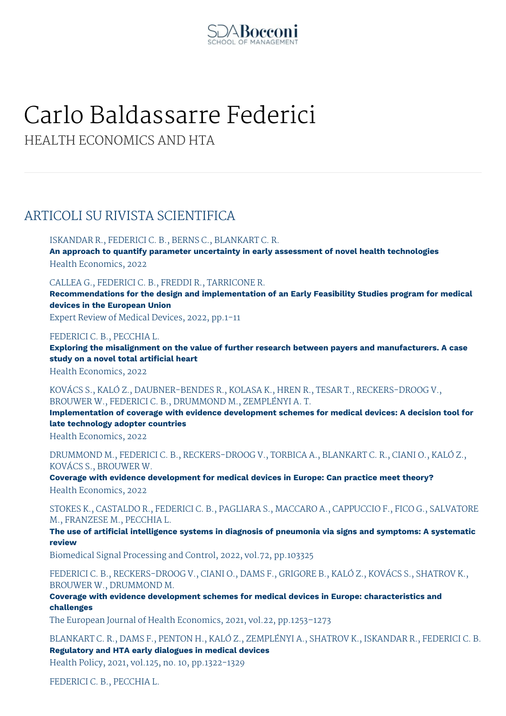

# Carlo Baldassarre Federici

HEALTH ECONOMICS AND HTA

## ARTICOLI SU RIVISTA SCIENTIFICA

ISKANDAR R., FEDERICI C. B., BERNS C., BLANKART C. R.

**An approach to quantify parameter uncertainty in early assessment of novel health technologies** Health Economics, 2022

CALLEA G., FEDERICI C. B., FREDDI R., TARRICONE R.

**Recommendations for the design and implementation of an Early Feasibility Studies program for medical devices in the European Union**

Expert Review of Medical Devices, 2022, pp.1-11

FEDERICI C. B., PECCHIA L.

**Exploring the misalignment on the value of further research between payers and manufacturers. A case study on a novel total artificial heart**

Health Economics, 2022

KOVÁCS S., KALÓ Z., DAUBNER-BENDES R., KOLASA K., HREN R., TESAR T., RECKERS-DROOG V., BROUWER W., FEDERICI C. B., DRUMMOND M., ZEMPLÉNYI A. T.

**Implementation of coverage with evidence development schemes for medical devices: A decision tool for late technology adopter countries**

Health Economics, 2022

DRUMMOND M., FEDERICI C. B., RECKERS-DROOG V., TORBICA A., BLANKART C. R., CIANI O., KALÓ Z., KOVÁCS S., BROUWER W.

**Coverage with evidence development for medical devices in Europe: Can practice meet theory?**

Health Economics, 2022

STOKES K., CASTALDO R., FEDERICI C. B., PAGLIARA S., MACCARO A., CAPPUCCIO F., FICO G., SALVATORE M., FRANZESE M., PECCHIA L.

**The use of artificial intelligence systems in diagnosis of pneumonia via signs and symptoms: A systematic review**

Biomedical Signal Processing and Control, 2022, vol.72, pp.103325

FEDERICI C. B., RECKERS-DROOG V., CIANI O., DAMS F., GRIGORE B., KALÓ Z., KOVÁCS S., SHATROV K., BROUWER W., DRUMMOND M.

**Coverage with evidence development schemes for medical devices in Europe: characteristics and challenges**

The European Journal of Health Economics, 2021, vol.22, pp.1253–1273

BLANKART C. R., DAMS F., PENTON H., KALÓ Z., ZEMPLÉNYI A., SHATROV K., ISKANDAR R., FEDERICI C. B. **Regulatory and HTA early dialogues in medical devices** Health Policy, 2021, vol.125, no. 10, pp.1322-1329

FEDERICI C. B., PECCHIA L.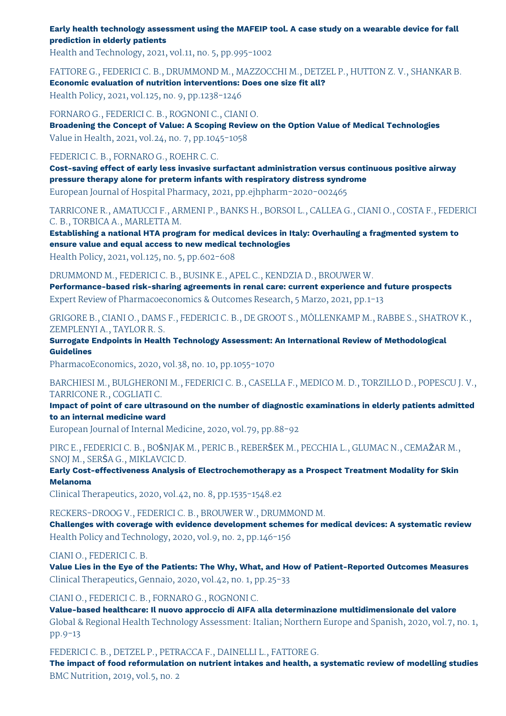**Early health technology assessment using the MAFEIP tool. A case study on a wearable device for fall prediction in elderly patients**

Health and Technology, 2021, vol.11, no. 5, pp.995-1002

FATTORE G., FEDERICI C. B., DRUMMOND M., MAZZOCCHI M., DETZEL P., HUTTON Z. V., SHANKAR B. **Economic evaluation of nutrition interventions: Does one size fit all?**

Health Policy, 2021, vol.125, no. 9, pp.1238-1246

FORNARO G., FEDERICI C. B., ROGNONI C., CIANI O. **Broadening the Concept of Value: A Scoping Review on the Option Value of Medical Technologies** Value in Health, 2021, vol.24, no. 7, pp.1045-1058

FEDERICI C. B., FORNARO G., ROEHR C. C.

**Cost-saving effect of early less invasive surfactant administration versus continuous positive airway pressure therapy alone for preterm infants with respiratory distress syndrome** European Journal of Hospital Pharmacy, 2021, pp.ejhpharm-2020-002465

TARRICONE R., AMATUCCI F., ARMENI P., BANKS H., BORSOI L., CALLEA G., CIANI O., COSTA F., FEDERICI C. B., TORBICA A., MARLETTA M.

**Establishing a national HTA program for medical devices in Italy: Overhauling a fragmented system to ensure value and equal access to new medical technologies**

Health Policy, 2021, vol.125, no. 5, pp.602-608

DRUMMOND M., FEDERICI C. B., BUSINK E., APEL C., KENDZIA D., BROUWER W.

**Performance-based risk-sharing agreements in renal care: current experience and future prospects** Expert Review of Pharmacoeconomics & Outcomes Research, 5 Marzo, 2021, pp.1-13

GRIGORE B., CIANI O., DAMS F., FEDERICI C. B., DE GROOT S., MÖLLENKAMP M., RABBE S., SHATROV K., ZEMPLENYI A., TAYLOR R. S.

**Surrogate Endpoints in Health Technology Assessment: An International Review of Methodological Guidelines**

PharmacoEconomics, 2020, vol.38, no. 10, pp.1055-1070

BARCHIESI M., BULGHERONI M., FEDERICI C. B., CASELLA F., MEDICO M. D., TORZILLO D., POPESCU J. V., TARRICONE R., COGLIATI C.

**Impact of point of care ultrasound on the number of diagnostic examinations in elderly patients admitted to an internal medicine ward**

European Journal of Internal Medicine, 2020, vol.79, pp.88-92

PIRC E., FEDERICI C. B., BOŠNJAK M., PERIC B., REBERŠEK M., PECCHIA L., GLUMAC N., CEMAŽAR M., SNOJ M., SERŠA G., MIKLAVCIC D.

**Early Cost-effectiveness Analysis of Electrochemotherapy as a Prospect Treatment Modality for Skin Melanoma**

Clinical Therapeutics, 2020, vol.42, no. 8, pp.1535-1548.e2

RECKERS-DROOG V., FEDERICI C. B., BROUWER W., DRUMMOND M.

**Challenges with coverage with evidence development schemes for medical devices: A systematic review** Health Policy and Technology, 2020, vol.9, no. 2, pp.146-156

CIANI O., FEDERICI C. B.

**Value Lies in the Eye of the Patients: The Why, What, and How of Patient-Reported Outcomes Measures** Clinical Therapeutics, Gennaio, 2020, vol.42, no. 1, pp.25-33

CIANI O., FEDERICI C. B., FORNARO G., ROGNONI C.

**Value-based healthcare: Il nuovo approccio di AIFA alla determinazione multidimensionale del valore** Global & Regional Health Technology Assessment: Italian; Northern Europe and Spanish, 2020, vol.7, no. 1, pp.9-13

FEDERICI C. B., DETZEL P., PETRACCA F., DAINELLI L., FATTORE G.

**The impact of food reformulation on nutrient intakes and health, a systematic review of modelling studies** BMC Nutrition, 2019, vol.5, no. 2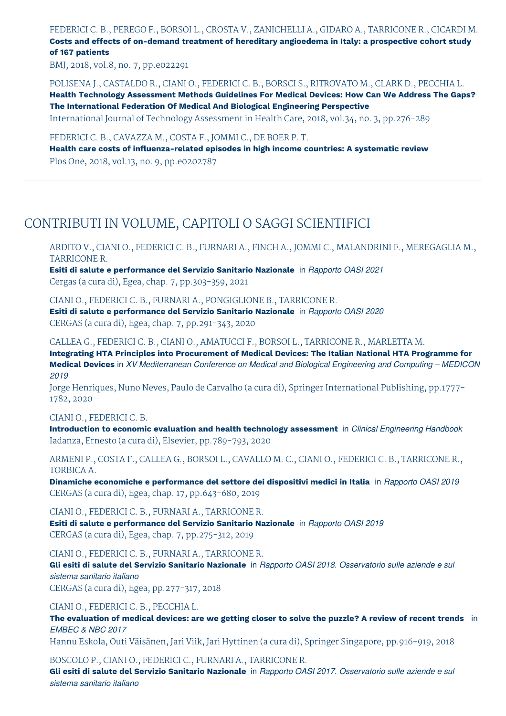FEDERICI C. B., PEREGO F., BORSOI L., CROSTA V., ZANICHELLI A., GIDARO A., TARRICONE R., CICARDI M. **Costs and effects of on-demand treatment of hereditary angioedema in Italy: a prospective cohort study**

**of 167 patients**

BMJ, 2018, vol.8, no. 7, pp.e022291

POLISENA J., CASTALDO R., CIANI O., FEDERICI C. B., BORSCI S., RITROVATO M., CLARK D., PECCHIA L. **Health Technology Assessment Methods Guidelines For Medical Devices: How Can We Address The Gaps? The International Federation Of Medical And Biological Engineering Perspective**

International Journal of Technology Assessment in Health Care, 2018, vol.34, no. 3, pp.276-289

FEDERICI C. B., CAVAZZA M., COSTA F., JOMMI C., DE BOER P. T.

**Health care costs of influenza-related episodes in high income countries: A systematic review** Plos One, 2018, vol.13, no. 9, pp.e0202787

## CONTRIBUTI IN VOLUME, CAPITOLI O SAGGI SCIENTIFICI

ARDITO V., CIANI O., FEDERICI C. B., FURNARI A., FINCH A., JOMMI C., MALANDRINI F., MEREGAGLIA M., TARRICONE R.

**Esiti di salute e performance del Servizio Sanitario Nazionale** in *Rapporto OASI 2021* Cergas (a cura di), Egea, chap. 7, pp.303-359, 2021

CIANI O., FEDERICI C. B., FURNARI A., PONGIGLIONE B., TARRICONE R. **Esiti di salute e performance del Servizio Sanitario Nazionale** in *Rapporto OASI 2020* CERGAS (a cura di), Egea, chap. 7, pp.291-343, 2020

CALLEA G., FEDERICI C. B., CIANI O., AMATUCCI F., BORSOI L., TARRICONE R., MARLETTA M.

**Integrating HTA Principles into Procurement of Medical Devices: The Italian National HTA Programme for Medical Devices** in *XV Mediterranean Conference on Medical and Biological Engineering and Computing – MEDICON 2019*

Jorge Henriques, Nuno Neves, Paulo de Carvalho (a cura di), Springer International Publishing, pp.1777- 1782, 2020

CIANI O., FEDERICI C. B.

**Introduction to economic evaluation and health technology assessment** in *Clinical Engineering Handbook* Iadanza, Ernesto (a cura di), Elsevier, pp.789-793, 2020

ARMENI P., COSTA F., CALLEA G., BORSOI L., CAVALLO M. C., CIANI O., FEDERICI C. B., TARRICONE R., TORBICA A.

**Dinamiche economiche e performance del settore dei dispositivi medici in Italia** in *Rapporto OASI 2019* CERGAS (a cura di), Egea, chap. 17, pp.643-680, 2019

CIANI O., FEDERICI C. B., FURNARI A., TARRICONE R. **Esiti di salute e performance del Servizio Sanitario Nazionale** in *Rapporto OASI 2019* CERGAS (a cura di), Egea, chap. 7, pp.275-312, 2019

CIANI O., FEDERICI C. B., FURNARI A., TARRICONE R.

**Gli esiti di salute del Servizio Sanitario Nazionale** in *Rapporto OASI 2018. Osservatorio sulle aziende e sul sistema sanitario italiano*

CERGAS (a cura di), Egea, pp.277-317, 2018

CIANI O., FEDERICI C. B., PECCHIA L.

The evaluation of medical devices: are we getting closer to solve the puzzle? A review of recent trends in *EMBEC & NBC 2017*

Hannu Eskola, Outi Väisänen, Jari Viik, Jari Hyttinen (a cura di), Springer Singapore, pp.916-919, 2018

BOSCOLO P., CIANI O., FEDERICI C., FURNARI A., TARRICONE R.

**Gli esiti di salute del Servizio Sanitario Nazionale** in *Rapporto OASI 2017. Osservatorio sulle aziende e sul sistema sanitario italiano*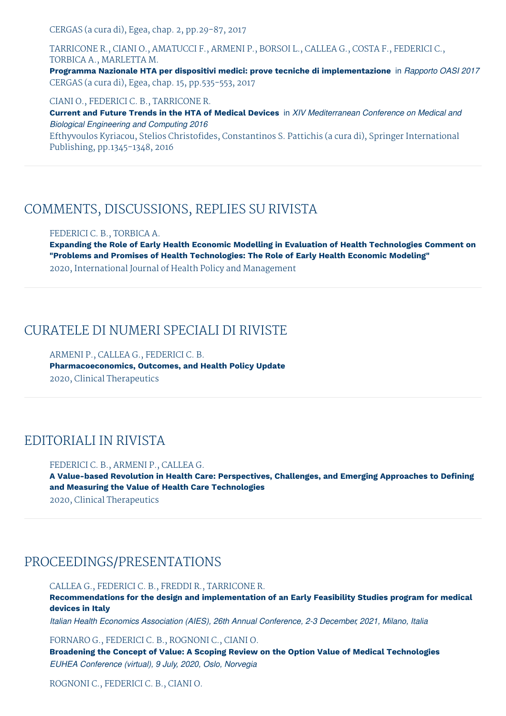CERGAS (a cura di), Egea, chap. 2, pp.29-87, 2017

TARRICONE R., CIANI O., AMATUCCI F., ARMENI P., BORSOI L., CALLEA G., COSTA F., FEDERICI C., TORBICA A., MARLETTA M. **Programma Nazionale HTA per dispositivi medici: prove tecniche di implementazione** in *Rapporto OASI 2017* CERGAS (a cura di), Egea, chap. 15, pp.535-553, 2017

CIANI O., FEDERICI C. B., TARRICONE R. **Current and Future Trends in the HTA of Medical Devices** in *XIV Mediterranean Conference on Medical and Biological Engineering and Computing 2016* Efthyvoulos Kyriacou, Stelios Christofides, Constantinos S. Pattichis (a cura di), Springer International Publishing, pp.1345-1348, 2016

#### COMMENTS, DISCUSSIONS, REPLIES SU RIVISTA

FEDERICI C. B., TORBICA A.

**Expanding the Role of Early Health Economic Modelling in Evaluation of Health Technologies Comment on "Problems and Promises of Health Technologies: The Role of Early Health Economic Modeling"** 2020, International Journal of Health Policy and Management

CURATELE DI NUMERI SPECIALI DI RIVISTE

ARMENI P., CALLEA G., FEDERICI C. B. **Pharmacoeconomics, Outcomes, and Health Policy Update** 2020, Clinical Therapeutics

## EDITORIALI IN RIVISTA

FEDERICI C. B., ARMENI P., CALLEA G. **A Value-based Revolution in Health Care: Perspectives, Challenges, and Emerging Approaches to Defining and Measuring the Value of Health Care Technologies** 2020, Clinical Therapeutics

### PROCEEDINGS/PRESENTATIONS

CALLEA G., FEDERICI C. B., FREDDI R., TARRICONE R. **Recommendations for the design and implementation of an Early Feasibility Studies program for medical devices in Italy**

*Italian Health Economics Association (AIES), 26th Annual Conference, 2-3 December, 2021, Milano, Italia*

FORNARO G., FEDERICI C. B., ROGNONI C., CIANI O.

**Broadening the Concept of Value: A Scoping Review on the Option Value of Medical Technologies** *EUHEA Conference (virtual), 9 July, 2020, Oslo, Norvegia*

ROGNONI C., FEDERICI C. B., CIANI O.